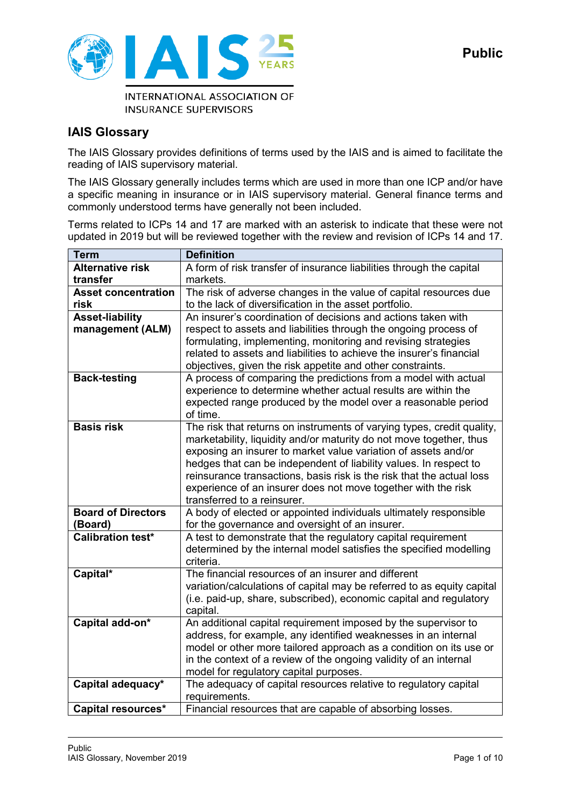

**INSURANCE SUPERVISORS** 

## **IAIS Glossary**

The IAIS Glossary provides definitions of terms used by the IAIS and is aimed to facilitate the reading of IAIS supervisory material.

The IAIS Glossary generally includes terms which are used in more than one ICP and/or have a specific meaning in insurance or in IAIS supervisory material. General finance terms and commonly understood terms have generally not been included.

Terms related to ICPs 14 and 17 are marked with an asterisk to indicate that these were not updated in 2019 but will be reviewed together with the review and revision of ICPs 14 and 17.

| <b>Term</b>                | <b>Definition</b>                                                                                          |
|----------------------------|------------------------------------------------------------------------------------------------------------|
| <b>Alternative risk</b>    | A form of risk transfer of insurance liabilities through the capital                                       |
| transfer                   | markets.                                                                                                   |
| <b>Asset concentration</b> | The risk of adverse changes in the value of capital resources due                                          |
| risk                       | to the lack of diversification in the asset portfolio.                                                     |
| <b>Asset-liability</b>     | An insurer's coordination of decisions and actions taken with                                              |
| management (ALM)           | respect to assets and liabilities through the ongoing process of                                           |
|                            | formulating, implementing, monitoring and revising strategies                                              |
|                            | related to assets and liabilities to achieve the insurer's financial                                       |
|                            | objectives, given the risk appetite and other constraints.                                                 |
| <b>Back-testing</b>        | A process of comparing the predictions from a model with actual                                            |
|                            | experience to determine whether actual results are within the                                              |
|                            | expected range produced by the model over a reasonable period                                              |
|                            | of time.                                                                                                   |
| <b>Basis risk</b>          | The risk that returns on instruments of varying types, credit quality,                                     |
|                            | marketability, liquidity and/or maturity do not move together, thus                                        |
|                            | exposing an insurer to market value variation of assets and/or                                             |
|                            | hedges that can be independent of liability values. In respect to                                          |
|                            | reinsurance transactions, basis risk is the risk that the actual loss                                      |
|                            | experience of an insurer does not move together with the risk                                              |
|                            | transferred to a reinsurer.                                                                                |
| <b>Board of Directors</b>  | A body of elected or appointed individuals ultimately responsible                                          |
| (Board)                    | for the governance and oversight of an insurer.                                                            |
| <b>Calibration test*</b>   | A test to demonstrate that the regulatory capital requirement                                              |
|                            | determined by the internal model satisfies the specified modelling                                         |
|                            | criteria.                                                                                                  |
| Capital*                   | The financial resources of an insurer and different                                                        |
|                            | variation/calculations of capital may be referred to as equity capital                                     |
|                            | (i.e. paid-up, share, subscribed), economic capital and regulatory                                         |
| Capital add-on*            | capital.                                                                                                   |
|                            | An additional capital requirement imposed by the supervisor to                                             |
|                            | address, for example, any identified weaknesses in an internal                                             |
|                            | model or other more tailored approach as a condition on its use or                                         |
|                            | in the context of a review of the ongoing validity of an internal                                          |
| Capital adequacy*          | model for regulatory capital purposes.<br>The adequacy of capital resources relative to regulatory capital |
|                            |                                                                                                            |
|                            | requirements.                                                                                              |
| Capital resources*         | Financial resources that are capable of absorbing losses.                                                  |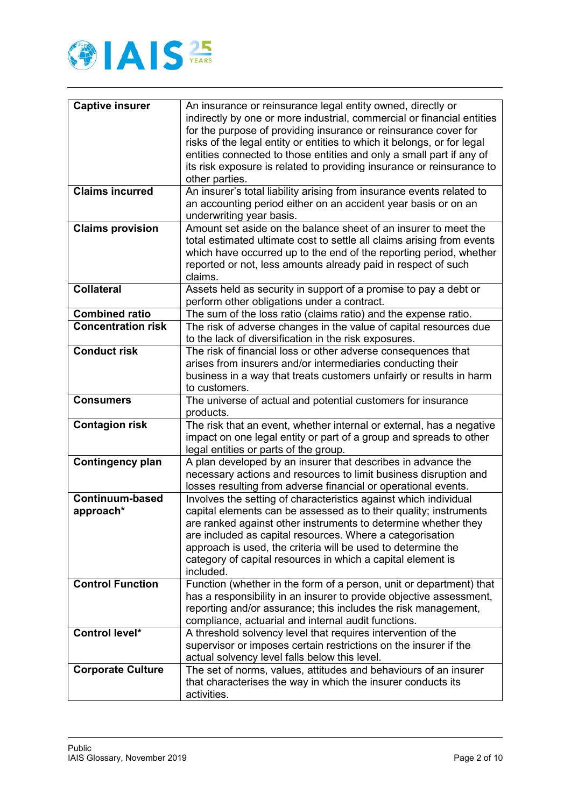

| <b>Captive insurer</b>    | An insurance or reinsurance legal entity owned, directly or                          |
|---------------------------|--------------------------------------------------------------------------------------|
|                           | indirectly by one or more industrial, commercial or financial entities               |
|                           | for the purpose of providing insurance or reinsurance cover for                      |
|                           | risks of the legal entity or entities to which it belongs, or for legal              |
|                           | entities connected to those entities and only a small part if any of                 |
|                           | its risk exposure is related to providing insurance or reinsurance to                |
|                           | other parties.                                                                       |
| <b>Claims incurred</b>    | An insurer's total liability arising from insurance events related to                |
|                           | an accounting period either on an accident year basis or on an                       |
|                           | underwriting year basis.                                                             |
| <b>Claims provision</b>   | Amount set aside on the balance sheet of an insurer to meet the                      |
|                           | total estimated ultimate cost to settle all claims arising from events               |
|                           | which have occurred up to the end of the reporting period, whether                   |
|                           | reported or not, less amounts already paid in respect of such                        |
|                           | claims.                                                                              |
| <b>Collateral</b>         | Assets held as security in support of a promise to pay a debt or                     |
| <b>Combined ratio</b>     | perform other obligations under a contract.                                          |
| <b>Concentration risk</b> | The sum of the loss ratio (claims ratio) and the expense ratio.                      |
|                           | The risk of adverse changes in the value of capital resources due                    |
| <b>Conduct risk</b>       | to the lack of diversification in the risk exposures.                                |
|                           | The risk of financial loss or other adverse consequences that                        |
|                           | arises from insurers and/or intermediaries conducting their                          |
|                           | business in a way that treats customers unfairly or results in harm<br>to customers. |
| <b>Consumers</b>          | The universe of actual and potential customers for insurance                         |
|                           | products.                                                                            |
| <b>Contagion risk</b>     | The risk that an event, whether internal or external, has a negative                 |
|                           | impact on one legal entity or part of a group and spreads to other                   |
|                           | legal entities or parts of the group.                                                |
| <b>Contingency plan</b>   | A plan developed by an insurer that describes in advance the                         |
|                           | necessary actions and resources to limit business disruption and                     |
|                           | losses resulting from adverse financial or operational events.                       |
| <b>Continuum-based</b>    | Involves the setting of characteristics against which individual                     |
| approach*                 | capital elements can be assessed as to their quality; instruments                    |
|                           | are ranked against other instruments to determine whether thev                       |
|                           | are included as capital resources. Where a categorisation                            |
|                           | approach is used, the criteria will be used to determine the                         |
|                           | category of capital resources in which a capital element is                          |
|                           | included.                                                                            |
| <b>Control Function</b>   | Function (whether in the form of a person, unit or department) that                  |
|                           | has a responsibility in an insurer to provide objective assessment,                  |
|                           | reporting and/or assurance; this includes the risk management,                       |
|                           | compliance, actuarial and internal audit functions.                                  |
| Control level*            | A threshold solvency level that requires intervention of the                         |
|                           | supervisor or imposes certain restrictions on the insurer if the                     |
|                           | actual solvency level falls below this level.                                        |
| <b>Corporate Culture</b>  | The set of norms, values, attitudes and behaviours of an insurer                     |
|                           | that characterises the way in which the insurer conducts its                         |
|                           | activities.                                                                          |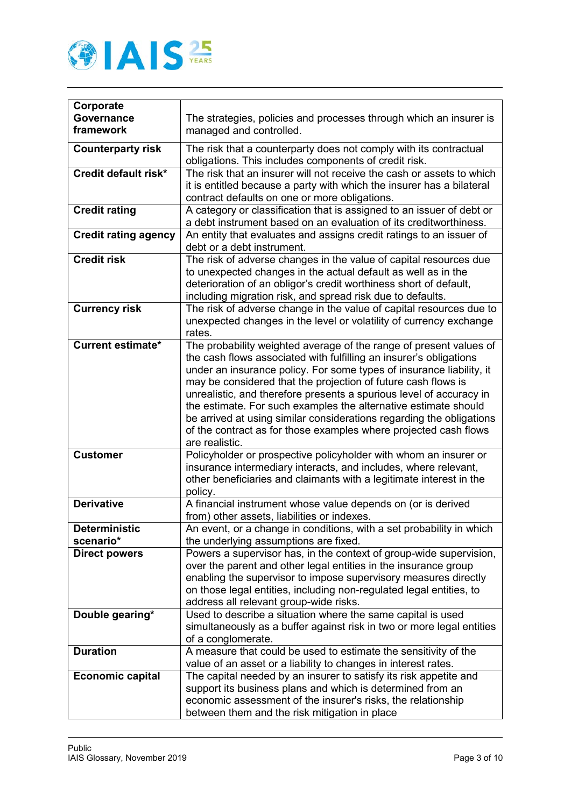

| Corporate                   |                                                                                                                                |
|-----------------------------|--------------------------------------------------------------------------------------------------------------------------------|
| <b>Governance</b>           | The strategies, policies and processes through which an insurer is                                                             |
| framework                   | managed and controlled.                                                                                                        |
|                             |                                                                                                                                |
| <b>Counterparty risk</b>    | The risk that a counterparty does not comply with its contractual                                                              |
| Credit default risk*        | obligations. This includes components of credit risk.<br>The risk that an insurer will not receive the cash or assets to which |
|                             |                                                                                                                                |
|                             | it is entitled because a party with which the insurer has a bilateral<br>contract defaults on one or more obligations.         |
| <b>Credit rating</b>        | A category or classification that is assigned to an issuer of debt or                                                          |
|                             | a debt instrument based on an evaluation of its creditworthiness.                                                              |
| <b>Credit rating agency</b> | An entity that evaluates and assigns credit ratings to an issuer of                                                            |
|                             | debt or a debt instrument.                                                                                                     |
| <b>Credit risk</b>          | The risk of adverse changes in the value of capital resources due                                                              |
|                             | to unexpected changes in the actual default as well as in the                                                                  |
|                             | deterioration of an obligor's credit worthiness short of default,                                                              |
|                             | including migration risk, and spread risk due to defaults.                                                                     |
| <b>Currency risk</b>        | The risk of adverse change in the value of capital resources due to                                                            |
|                             | unexpected changes in the level or volatility of currency exchange                                                             |
|                             | rates.                                                                                                                         |
| <b>Current estimate*</b>    | The probability weighted average of the range of present values of                                                             |
|                             | the cash flows associated with fulfilling an insurer's obligations                                                             |
|                             | under an insurance policy. For some types of insurance liability, it                                                           |
|                             | may be considered that the projection of future cash flows is                                                                  |
|                             | unrealistic, and therefore presents a spurious level of accuracy in                                                            |
|                             | the estimate. For such examples the alternative estimate should                                                                |
|                             | be arrived at using similar considerations regarding the obligations                                                           |
|                             | of the contract as for those examples where projected cash flows                                                               |
|                             | are realistic.                                                                                                                 |
| <b>Customer</b>             | Policyholder or prospective policyholder with whom an insurer or                                                               |
|                             | insurance intermediary interacts, and includes, where relevant,                                                                |
|                             | other beneficiaries and claimants with a legitimate interest in the                                                            |
| <b>Derivative</b>           | policy.                                                                                                                        |
|                             | A financial instrument whose value depends on (or is derived                                                                   |
| <b>Deterministic</b>        | from) other assets, liabilities or indexes.<br>An event, or a change in conditions, with a set probability in which            |
| scenario*                   | the underlying assumptions are fixed.                                                                                          |
| <b>Direct powers</b>        | Powers a supervisor has, in the context of group-wide supervision,                                                             |
|                             | over the parent and other legal entities in the insurance group                                                                |
|                             | enabling the supervisor to impose supervisory measures directly                                                                |
|                             | on those legal entities, including non-regulated legal entities, to                                                            |
|                             | address all relevant group-wide risks.                                                                                         |
| Double gearing*             | Used to describe a situation where the same capital is used                                                                    |
|                             | simultaneously as a buffer against risk in two or more legal entities                                                          |
|                             | of a conglomerate.                                                                                                             |
| <b>Duration</b>             | A measure that could be used to estimate the sensitivity of the                                                                |
|                             | value of an asset or a liability to changes in interest rates.                                                                 |
| <b>Economic capital</b>     | The capital needed by an insurer to satisfy its risk appetite and                                                              |
|                             | support its business plans and which is determined from an                                                                     |
|                             | economic assessment of the insurer's risks, the relationship                                                                   |
|                             | between them and the risk mitigation in place                                                                                  |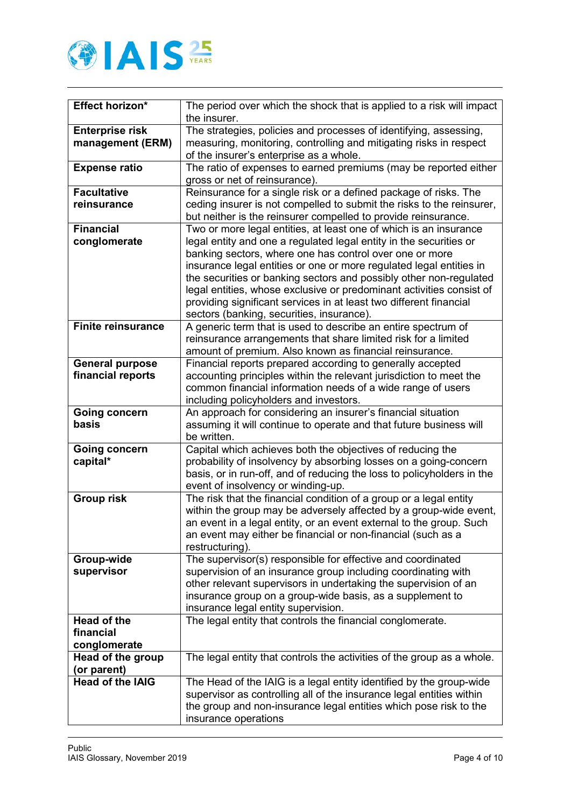

| Effect horizon*                             | The period over which the shock that is applied to a risk will impact<br>the insurer.                                                                                                                                                                                                                                                                                                                                                                                                                                                      |
|---------------------------------------------|--------------------------------------------------------------------------------------------------------------------------------------------------------------------------------------------------------------------------------------------------------------------------------------------------------------------------------------------------------------------------------------------------------------------------------------------------------------------------------------------------------------------------------------------|
| <b>Enterprise risk</b><br>management (ERM)  | The strategies, policies and processes of identifying, assessing,<br>measuring, monitoring, controlling and mitigating risks in respect<br>of the insurer's enterprise as a whole.                                                                                                                                                                                                                                                                                                                                                         |
| <b>Expense ratio</b>                        | The ratio of expenses to earned premiums (may be reported either<br>gross or net of reinsurance).                                                                                                                                                                                                                                                                                                                                                                                                                                          |
| <b>Facultative</b><br>reinsurance           | Reinsurance for a single risk or a defined package of risks. The<br>ceding insurer is not compelled to submit the risks to the reinsurer,<br>but neither is the reinsurer compelled to provide reinsurance.                                                                                                                                                                                                                                                                                                                                |
| <b>Financial</b><br>conglomerate            | Two or more legal entities, at least one of which is an insurance<br>legal entity and one a regulated legal entity in the securities or<br>banking sectors, where one has control over one or more<br>insurance legal entities or one or more regulated legal entities in<br>the securities or banking sectors and possibly other non-regulated<br>legal entities, whose exclusive or predominant activities consist of<br>providing significant services in at least two different financial<br>sectors (banking, securities, insurance). |
| <b>Finite reinsurance</b>                   | A generic term that is used to describe an entire spectrum of<br>reinsurance arrangements that share limited risk for a limited<br>amount of premium. Also known as financial reinsurance.                                                                                                                                                                                                                                                                                                                                                 |
| <b>General purpose</b><br>financial reports | Financial reports prepared according to generally accepted<br>accounting principles within the relevant jurisdiction to meet the<br>common financial information needs of a wide range of users<br>including policyholders and investors.                                                                                                                                                                                                                                                                                                  |
| <b>Going concern</b><br>basis               | An approach for considering an insurer's financial situation<br>assuming it will continue to operate and that future business will<br>be written.                                                                                                                                                                                                                                                                                                                                                                                          |
| <b>Going concern</b><br>capital*            | Capital which achieves both the objectives of reducing the<br>probability of insolvency by absorbing losses on a going-concern<br>basis, or in run-off, and of reducing the loss to policyholders in the<br>event of insolvency or winding-up.                                                                                                                                                                                                                                                                                             |
| <b>Group risk</b>                           | The risk that the financial condition of a group or a legal entity<br>within the group may be adversely affected by a group-wide event,<br>an event in a legal entity, or an event external to the group. Such<br>an event may either be financial or non-financial (such as a<br>restructuring).                                                                                                                                                                                                                                          |
| Group-wide<br>supervisor                    | The supervisor(s) responsible for effective and coordinated<br>supervision of an insurance group including coordinating with<br>other relevant supervisors in undertaking the supervision of an<br>insurance group on a group-wide basis, as a supplement to<br>insurance legal entity supervision.                                                                                                                                                                                                                                        |
| Head of the<br>financial<br>conglomerate    | The legal entity that controls the financial conglomerate.                                                                                                                                                                                                                                                                                                                                                                                                                                                                                 |
| Head of the group<br>(or parent)            | The legal entity that controls the activities of the group as a whole.                                                                                                                                                                                                                                                                                                                                                                                                                                                                     |
| <b>Head of the IAIG</b>                     | The Head of the IAIG is a legal entity identified by the group-wide<br>supervisor as controlling all of the insurance legal entities within<br>the group and non-insurance legal entities which pose risk to the<br>insurance operations                                                                                                                                                                                                                                                                                                   |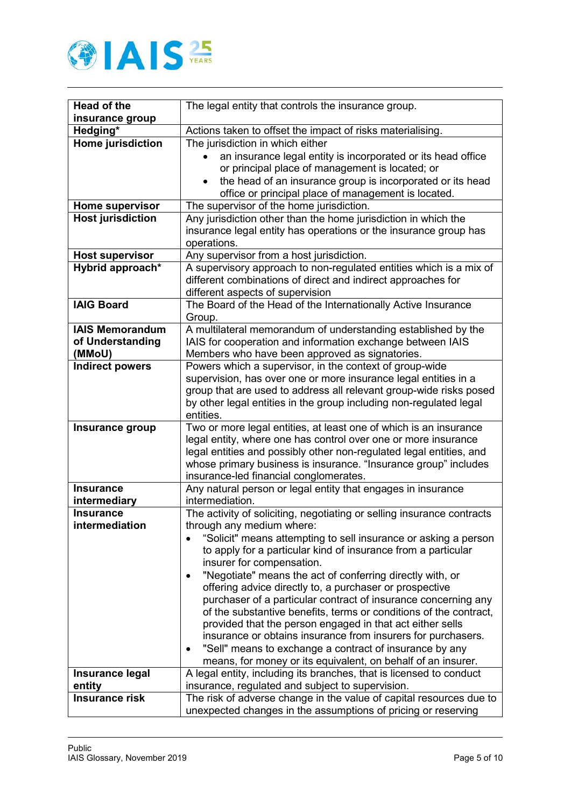

| <b>Head of the</b>       | The legal entity that controls the insurance group.                                                                                 |
|--------------------------|-------------------------------------------------------------------------------------------------------------------------------------|
| insurance group          |                                                                                                                                     |
| Hedging*                 | Actions taken to offset the impact of risks materialising.                                                                          |
| Home jurisdiction        | The jurisdiction in which either                                                                                                    |
|                          | an insurance legal entity is incorporated or its head office                                                                        |
|                          | or principal place of management is located; or                                                                                     |
|                          | the head of an insurance group is incorporated or its head                                                                          |
|                          | office or principal place of management is located.                                                                                 |
| Home supervisor          | The supervisor of the home jurisdiction.                                                                                            |
| <b>Host jurisdiction</b> | Any jurisdiction other than the home jurisdiction in which the                                                                      |
|                          | insurance legal entity has operations or the insurance group has                                                                    |
|                          | operations.                                                                                                                         |
| <b>Host supervisor</b>   | Any supervisor from a host jurisdiction.                                                                                            |
| Hybrid approach*         | A supervisory approach to non-regulated entities which is a mix of<br>different combinations of direct and indirect approaches for  |
|                          | different aspects of supervision                                                                                                    |
| <b>IAIG Board</b>        | The Board of the Head of the Internationally Active Insurance                                                                       |
|                          | Group.                                                                                                                              |
| <b>IAIS Memorandum</b>   | A multilateral memorandum of understanding established by the                                                                       |
| of Understanding         | IAIS for cooperation and information exchange between IAIS                                                                          |
| (MMoU)                   | Members who have been approved as signatories.                                                                                      |
| <b>Indirect powers</b>   | Powers which a supervisor, in the context of group-wide                                                                             |
|                          | supervision, has over one or more insurance legal entities in a                                                                     |
|                          | group that are used to address all relevant group-wide risks posed                                                                  |
|                          | by other legal entities in the group including non-regulated legal                                                                  |
|                          | entities.                                                                                                                           |
| Insurance group          | Two or more legal entities, at least one of which is an insurance<br>legal entity, where one has control over one or more insurance |
|                          | legal entities and possibly other non-regulated legal entities, and                                                                 |
|                          | whose primary business is insurance. "Insurance group" includes                                                                     |
|                          | insurance-led financial conglomerates.                                                                                              |
| <b>Insurance</b>         | Any natural person or legal entity that engages in insurance                                                                        |
| intermediary             | intermediation.                                                                                                                     |
| <b>Insurance</b>         | The activity of soliciting, negotiating or selling insurance contracts                                                              |
| intermediation           | through any medium where:                                                                                                           |
|                          | "Solicit" means attempting to sell insurance or asking a person                                                                     |
|                          | to apply for a particular kind of insurance from a particular                                                                       |
|                          | insurer for compensation.                                                                                                           |
|                          | "Negotiate" means the act of conferring directly with, or                                                                           |
|                          | offering advice directly to, a purchaser or prospective                                                                             |
|                          | purchaser of a particular contract of insurance concerning any                                                                      |
|                          | of the substantive benefits, terms or conditions of the contract,                                                                   |
|                          | provided that the person engaged in that act either sells<br>insurance or obtains insurance from insurers for purchasers.           |
|                          | "Sell" means to exchange a contract of insurance by any                                                                             |
|                          | means, for money or its equivalent, on behalf of an insurer.                                                                        |
| Insurance legal          | A legal entity, including its branches, that is licensed to conduct                                                                 |
| entity                   | insurance, regulated and subject to supervision.                                                                                    |
| <b>Insurance risk</b>    | The risk of adverse change in the value of capital resources due to                                                                 |
|                          | unexpected changes in the assumptions of pricing or reserving                                                                       |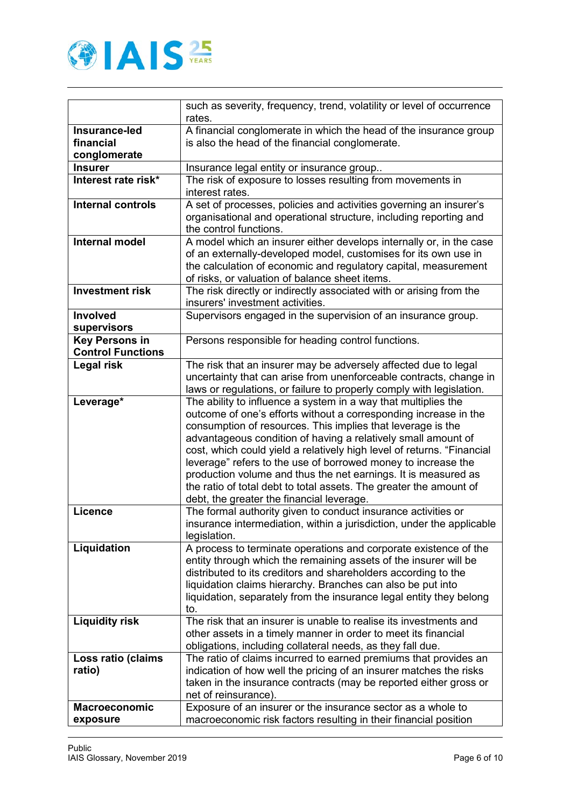

|                          | such as severity, frequency, trend, volatility or level of occurrence<br>rates.                                                      |
|--------------------------|--------------------------------------------------------------------------------------------------------------------------------------|
| Insurance-led            | A financial conglomerate in which the head of the insurance group                                                                    |
| financial                | is also the head of the financial conglomerate.                                                                                      |
| conglomerate             |                                                                                                                                      |
| <b>Insurer</b>           | Insurance legal entity or insurance group                                                                                            |
| Interest rate risk*      | The risk of exposure to losses resulting from movements in                                                                           |
|                          | interest rates.                                                                                                                      |
| <b>Internal controls</b> | A set of processes, policies and activities governing an insurer's                                                                   |
|                          | organisational and operational structure, including reporting and                                                                    |
|                          | the control functions.                                                                                                               |
| <b>Internal model</b>    | A model which an insurer either develops internally or, in the case                                                                  |
|                          | of an externally-developed model, customises for its own use in                                                                      |
|                          | the calculation of economic and regulatory capital, measurement                                                                      |
| <b>Investment risk</b>   | of risks, or valuation of balance sheet items.                                                                                       |
|                          | The risk directly or indirectly associated with or arising from the<br>insurers' investment activities.                              |
| Involved                 | Supervisors engaged in the supervision of an insurance group.                                                                        |
| supervisors              |                                                                                                                                      |
| <b>Key Persons in</b>    | Persons responsible for heading control functions.                                                                                   |
| <b>Control Functions</b> |                                                                                                                                      |
| Legal risk               | The risk that an insurer may be adversely affected due to legal                                                                      |
|                          | uncertainty that can arise from unenforceable contracts, change in                                                                   |
|                          | laws or regulations, or failure to properly comply with legislation.                                                                 |
| Leverage*                | The ability to influence a system in a way that multiplies the                                                                       |
|                          | outcome of one's efforts without a corresponding increase in the                                                                     |
|                          | consumption of resources. This implies that leverage is the                                                                          |
|                          | advantageous condition of having a relatively small amount of                                                                        |
|                          | cost, which could yield a relatively high level of returns. "Financial                                                               |
|                          | leverage" refers to the use of borrowed money to increase the                                                                        |
|                          | production volume and thus the net earnings. It is measured as<br>the ratio of total debt to total assets. The greater the amount of |
|                          | debt, the greater the financial leverage.                                                                                            |
| <b>Licence</b>           | The formal authority given to conduct insurance activities or                                                                        |
|                          | insurance intermediation, within a jurisdiction, under the applicable                                                                |
|                          | legislation.                                                                                                                         |
| Liquidation              | A process to terminate operations and corporate existence of the                                                                     |
|                          | entity through which the remaining assets of the insurer will be                                                                     |
|                          | distributed to its creditors and shareholders according to the                                                                       |
|                          | liquidation claims hierarchy. Branches can also be put into                                                                          |
|                          | liquidation, separately from the insurance legal entity they belong                                                                  |
|                          | to.                                                                                                                                  |
| <b>Liquidity risk</b>    | The risk that an insurer is unable to realise its investments and                                                                    |
|                          | other assets in a timely manner in order to meet its financial                                                                       |
|                          | obligations, including collateral needs, as they fall due.                                                                           |
| Loss ratio (claims       | The ratio of claims incurred to earned premiums that provides an                                                                     |
| ratio)                   | indication of how well the pricing of an insurer matches the risks                                                                   |
|                          | taken in the insurance contracts (may be reported either gross or                                                                    |
|                          | net of reinsurance).                                                                                                                 |
| <b>Macroeconomic</b>     | Exposure of an insurer or the insurance sector as a whole to                                                                         |
| exposure                 | macroeconomic risk factors resulting in their financial position                                                                     |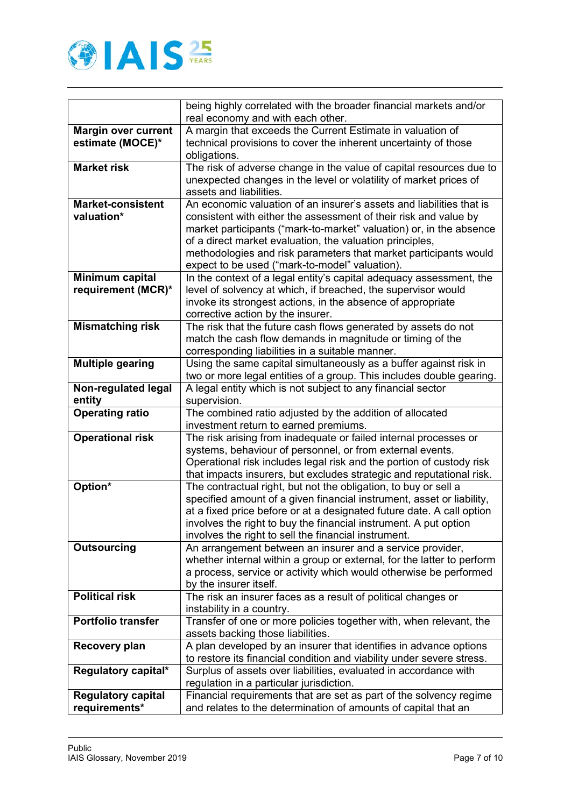

|                            | being highly correlated with the broader financial markets and/or                                              |
|----------------------------|----------------------------------------------------------------------------------------------------------------|
|                            | real economy and with each other.                                                                              |
| <b>Margin over current</b> | A margin that exceeds the Current Estimate in valuation of                                                     |
| estimate (MOCE)*           | technical provisions to cover the inherent uncertainty of those                                                |
|                            | obligations.                                                                                                   |
| <b>Market risk</b>         | The risk of adverse change in the value of capital resources due to                                            |
|                            | unexpected changes in the level or volatility of market prices of                                              |
|                            | assets and liabilities.                                                                                        |
| <b>Market-consistent</b>   | An economic valuation of an insurer's assets and liabilities that is                                           |
| valuation*                 | consistent with either the assessment of their risk and value by                                               |
|                            | market participants ("mark-to-market" valuation) or, in the absence                                            |
|                            | of a direct market evaluation, the valuation principles,                                                       |
|                            | methodologies and risk parameters that market participants would                                               |
|                            | expect to be used ("mark-to-model" valuation).                                                                 |
| Minimum capital            | In the context of a legal entity's capital adequacy assessment, the                                            |
| requirement (MCR)*         | level of solvency at which, if breached, the supervisor would                                                  |
|                            | invoke its strongest actions, in the absence of appropriate                                                    |
| <b>Mismatching risk</b>    | corrective action by the insurer.<br>The risk that the future cash flows generated by assets do not            |
|                            | match the cash flow demands in magnitude or timing of the                                                      |
|                            | corresponding liabilities in a suitable manner.                                                                |
| <b>Multiple gearing</b>    | Using the same capital simultaneously as a buffer against risk in                                              |
|                            | two or more legal entities of a group. This includes double gearing.                                           |
| Non-regulated legal        | A legal entity which is not subject to any financial sector                                                    |
| entity                     | supervision.                                                                                                   |
|                            |                                                                                                                |
|                            |                                                                                                                |
| <b>Operating ratio</b>     | The combined ratio adjusted by the addition of allocated<br>investment return to earned premiums.              |
| <b>Operational risk</b>    | The risk arising from inadequate or failed internal processes or                                               |
|                            | systems, behaviour of personnel, or from external events.                                                      |
|                            | Operational risk includes legal risk and the portion of custody risk                                           |
|                            | that impacts insurers, but excludes strategic and reputational risk.                                           |
| Option*                    | The contractual right, but not the obligation, to buy or sell a                                                |
|                            | specified amount of a given financial instrument, asset or liability,                                          |
|                            | at a fixed price before or at a designated future date. A call option                                          |
|                            | involves the right to buy the financial instrument. A put option                                               |
|                            | involves the right to sell the financial instrument.                                                           |
| <b>Outsourcing</b>         | An arrangement between an insurer and a service provider,                                                      |
|                            | whether internal within a group or external, for the latter to perform                                         |
|                            | a process, service or activity which would otherwise be performed                                              |
|                            | by the insurer itself.                                                                                         |
| <b>Political risk</b>      | The risk an insurer faces as a result of political changes or                                                  |
|                            | instability in a country.                                                                                      |
| <b>Portfolio transfer</b>  | Transfer of one or more policies together with, when relevant, the                                             |
|                            | assets backing those liabilities.                                                                              |
| <b>Recovery plan</b>       | A plan developed by an insurer that identifies in advance options                                              |
|                            | to restore its financial condition and viability under severe stress.                                          |
| Regulatory capital*        | Surplus of assets over liabilities, evaluated in accordance with                                               |
| <b>Regulatory capital</b>  | regulation in a particular jurisdiction.<br>Financial requirements that are set as part of the solvency regime |
| requirements*              | and relates to the determination of amounts of capital that an                                                 |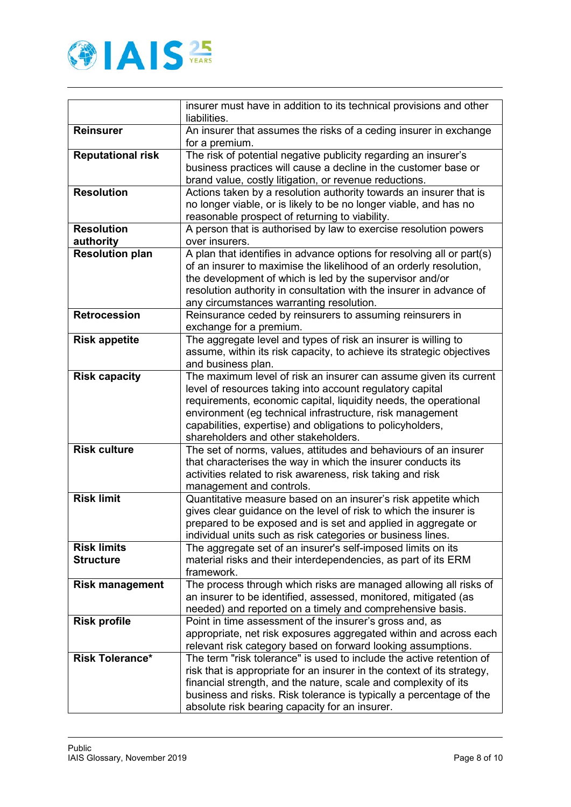

|                                        | insurer must have in addition to its technical provisions and other<br>liabilities.                                                                                                                                                                                                                                                                                   |
|----------------------------------------|-----------------------------------------------------------------------------------------------------------------------------------------------------------------------------------------------------------------------------------------------------------------------------------------------------------------------------------------------------------------------|
| <b>Reinsurer</b>                       | An insurer that assumes the risks of a ceding insurer in exchange<br>for a premium.                                                                                                                                                                                                                                                                                   |
| <b>Reputational risk</b>               | The risk of potential negative publicity regarding an insurer's<br>business practices will cause a decline in the customer base or<br>brand value, costly litigation, or revenue reductions.                                                                                                                                                                          |
| <b>Resolution</b>                      | Actions taken by a resolution authority towards an insurer that is<br>no longer viable, or is likely to be no longer viable, and has no<br>reasonable prospect of returning to viability.                                                                                                                                                                             |
| <b>Resolution</b><br>authority         | A person that is authorised by law to exercise resolution powers<br>over insurers.                                                                                                                                                                                                                                                                                    |
| <b>Resolution plan</b>                 | A plan that identifies in advance options for resolving all or part(s)<br>of an insurer to maximise the likelihood of an orderly resolution,<br>the development of which is led by the supervisor and/or<br>resolution authority in consultation with the insurer in advance of<br>any circumstances warranting resolution.                                           |
| <b>Retrocession</b>                    | Reinsurance ceded by reinsurers to assuming reinsurers in<br>exchange for a premium.                                                                                                                                                                                                                                                                                  |
| <b>Risk appetite</b>                   | The aggregate level and types of risk an insurer is willing to<br>assume, within its risk capacity, to achieve its strategic objectives<br>and business plan.                                                                                                                                                                                                         |
| <b>Risk capacity</b>                   | The maximum level of risk an insurer can assume given its current<br>level of resources taking into account regulatory capital<br>requirements, economic capital, liquidity needs, the operational<br>environment (eg technical infrastructure, risk management<br>capabilities, expertise) and obligations to policyholders,<br>shareholders and other stakeholders. |
| <b>Risk culture</b>                    | The set of norms, values, attitudes and behaviours of an insurer<br>that characterises the way in which the insurer conducts its<br>activities related to risk awareness, risk taking and risk<br>management and controls.                                                                                                                                            |
| <b>Risk limit</b>                      | Quantitative measure based on an insurer's risk appetite which<br>gives clear guidance on the level of risk to which the insurer is<br>prepared to be exposed and is set and applied in aggregate or<br>individual units such as risk categories or business lines.                                                                                                   |
| <b>Risk limits</b><br><b>Structure</b> | The aggregate set of an insurer's self-imposed limits on its<br>material risks and their interdependencies, as part of its ERM<br>framework.                                                                                                                                                                                                                          |
| <b>Risk management</b>                 | The process through which risks are managed allowing all risks of<br>an insurer to be identified, assessed, monitored, mitigated (as<br>needed) and reported on a timely and comprehensive basis.                                                                                                                                                                     |
| <b>Risk profile</b>                    | Point in time assessment of the insurer's gross and, as<br>appropriate, net risk exposures aggregated within and across each<br>relevant risk category based on forward looking assumptions.                                                                                                                                                                          |
| <b>Risk Tolerance*</b>                 | The term "risk tolerance" is used to include the active retention of<br>risk that is appropriate for an insurer in the context of its strategy,<br>financial strength, and the nature, scale and complexity of its<br>business and risks. Risk tolerance is typically a percentage of the<br>absolute risk bearing capacity for an insurer.                           |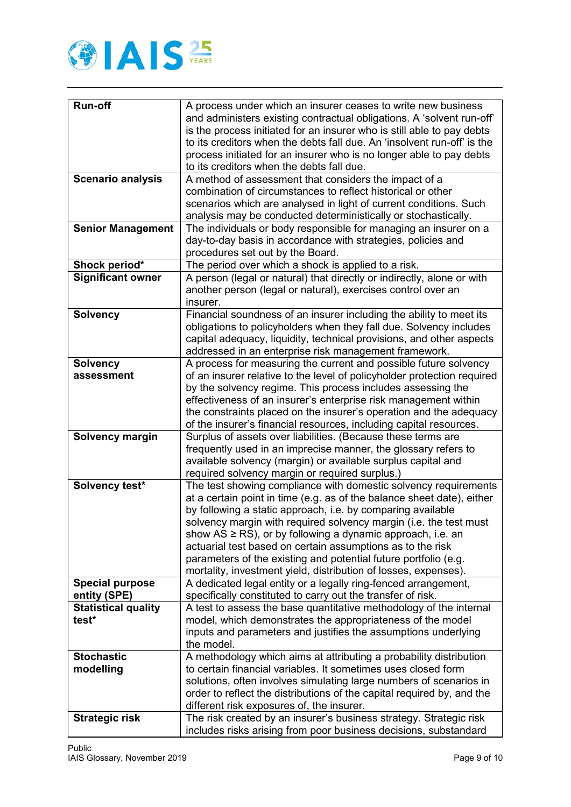

| <b>Run-off</b>             | A process under which an insurer ceases to write new business                                                                          |
|----------------------------|----------------------------------------------------------------------------------------------------------------------------------------|
|                            | and administers existing contractual obligations. A 'solvent run-off'                                                                  |
|                            | is the process initiated for an insurer who is still able to pay debts                                                                 |
|                            | to its creditors when the debts fall due. An 'insolvent run-off' is the                                                                |
|                            | process initiated for an insurer who is no longer able to pay debts                                                                    |
|                            | to its creditors when the debts fall due.                                                                                              |
| <b>Scenario analysis</b>   | A method of assessment that considers the impact of a                                                                                  |
|                            | combination of circumstances to reflect historical or other                                                                            |
|                            | scenarios which are analysed in light of current conditions. Such                                                                      |
|                            | analysis may be conducted deterministically or stochastically.                                                                         |
| <b>Senior Management</b>   | The individuals or body responsible for managing an insurer on a                                                                       |
|                            | day-to-day basis in accordance with strategies, policies and                                                                           |
|                            | procedures set out by the Board.                                                                                                       |
| Shock period*              | The period over which a shock is applied to a risk.                                                                                    |
| <b>Significant owner</b>   | A person (legal or natural) that directly or indirectly, alone or with                                                                 |
|                            | another person (legal or natural), exercises control over an                                                                           |
|                            | insurer.                                                                                                                               |
| <b>Solvency</b>            | Financial soundness of an insurer including the ability to meet its                                                                    |
|                            | obligations to policyholders when they fall due. Solvency includes                                                                     |
|                            | capital adequacy, liquidity, technical provisions, and other aspects                                                                   |
|                            | addressed in an enterprise risk management framework.                                                                                  |
| <b>Solvency</b>            | A process for measuring the current and possible future solvency                                                                       |
| assessment                 | of an insurer relative to the level of policyholder protection required<br>by the solvency regime. This process includes assessing the |
|                            | effectiveness of an insurer's enterprise risk management within                                                                        |
|                            | the constraints placed on the insurer's operation and the adequacy                                                                     |
|                            | of the insurer's financial resources, including capital resources.                                                                     |
| <b>Solvency margin</b>     | Surplus of assets over liabilities. (Because these terms are                                                                           |
|                            | frequently used in an imprecise manner, the glossary refers to                                                                         |
|                            | available solvency (margin) or available surplus capital and                                                                           |
|                            | required solvency margin or required surplus.)                                                                                         |
| Solvency test*             | The test showing compliance with domestic solvency requirements                                                                        |
|                            | at a certain point in time (e.g. as of the balance sheet date), either                                                                 |
|                            | by following a static approach, i.e. by comparing available                                                                            |
|                            | solvency margin with required solvency margin (i.e. the test must                                                                      |
|                            | show $AS \geq RS$ , or by following a dynamic approach, i.e. an                                                                        |
|                            | actuarial test based on certain assumptions as to the risk                                                                             |
|                            | parameters of the existing and potential future portfolio (e.g.                                                                        |
| <b>Special purpose</b>     | mortality, investment yield, distribution of losses, expenses).                                                                        |
| entity (SPE)               | A dedicated legal entity or a legally ring-fenced arrangement,<br>specifically constituted to carry out the transfer of risk.          |
| <b>Statistical quality</b> | A test to assess the base quantitative methodology of the internal                                                                     |
| test*                      | model, which demonstrates the appropriateness of the model                                                                             |
|                            | inputs and parameters and justifies the assumptions underlying                                                                         |
|                            | the model.                                                                                                                             |
| <b>Stochastic</b>          | A methodology which aims at attributing a probability distribution                                                                     |
| modelling                  | to certain financial variables. It sometimes uses closed form                                                                          |
|                            | solutions, often involves simulating large numbers of scenarios in                                                                     |
|                            | order to reflect the distributions of the capital required by, and the                                                                 |
|                            | different risk exposures of, the insurer.                                                                                              |
| <b>Strategic risk</b>      | The risk created by an insurer's business strategy. Strategic risk                                                                     |
|                            | includes risks arising from poor business decisions, substandard                                                                       |